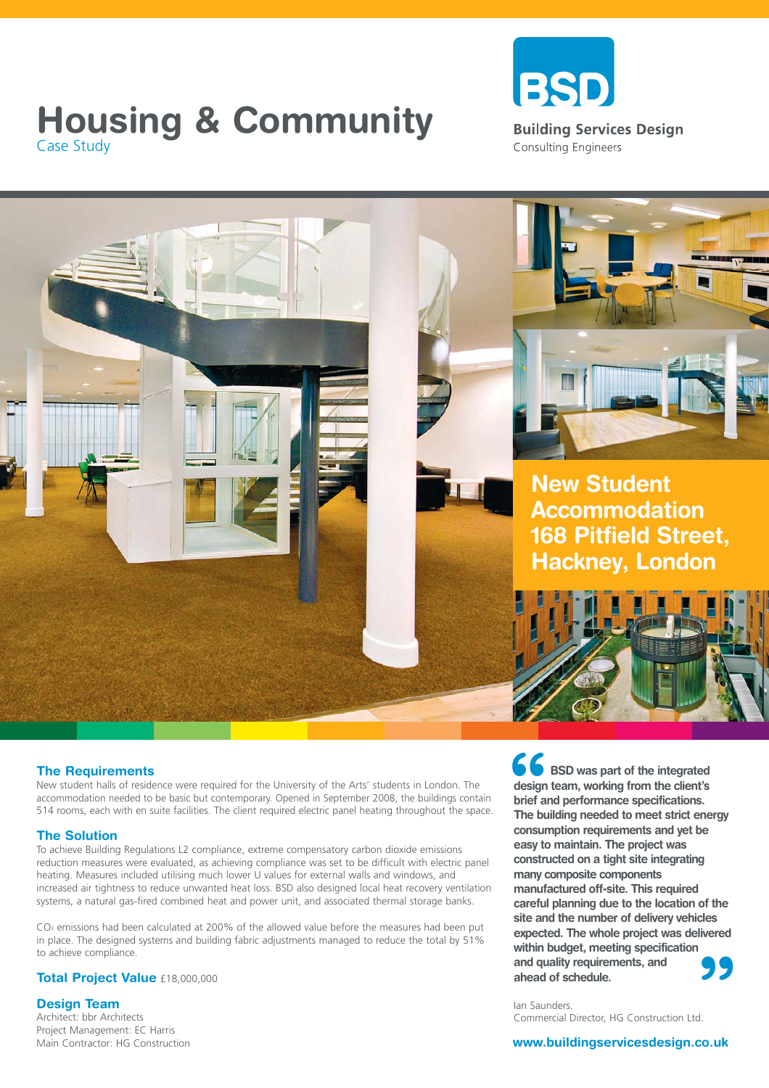# **Housing & Community**<br>Case Study<br>Case Study Case Study





New student halls of residence were required for the University of the Arts' students in London. The accommodation needed to be basic but contemporary. Opened in September 2008, the buildings contain 514 rooms, each with en suite facilities. The client required electric panel heating throughout the space.

## **The Solution**

To achieve Building Regulations L2 compliance, extreme compensatory carbon dioxide emissions reduction measures were evaluated, as achieving compliance was set to be difficult with electric panel heating. Measures included utilising much lower U values for external walls and windows, and increased air tightness to reduce unwanted heat loss. BSD also designed local heat recovery ventilation systems, a natural gas-fired combined heat and power unit, and associated thermal storage banks.

CO<sub>2</sub> emissions had been calculated at 200% of the allowed value before the measures had been put in place. The designed systems and building fabric adjustments managed to reduce the total by 51% to achieve compliance.

### **Total Project Value** £18,000,000

**Design Team**

Architect: bbr Architects Project Management: EC Harris Main Contractor: HG Construction **New Student Accommodation 168 Pitfield Street, Hackney, London**



**66**<br>design<br>brief an<br>The bu **" BSD was part of the integrated design team, working from the client's brief and performance specifications. The building needed to meet strict energy consumption requirements and yet be easy to maintain. The project was constructed on a tight site integrating many composite components manufactured off-site. This required careful planning due to the location of the site and the number of delivery vehicles expected. The whole project was delivered within budget, meeting specification and quality requirements, and ahead of schedule.**

Ian Saunders. Commercial Director, HG Construction Ltd.

### **www.buildingservicesdesign.co.uk**